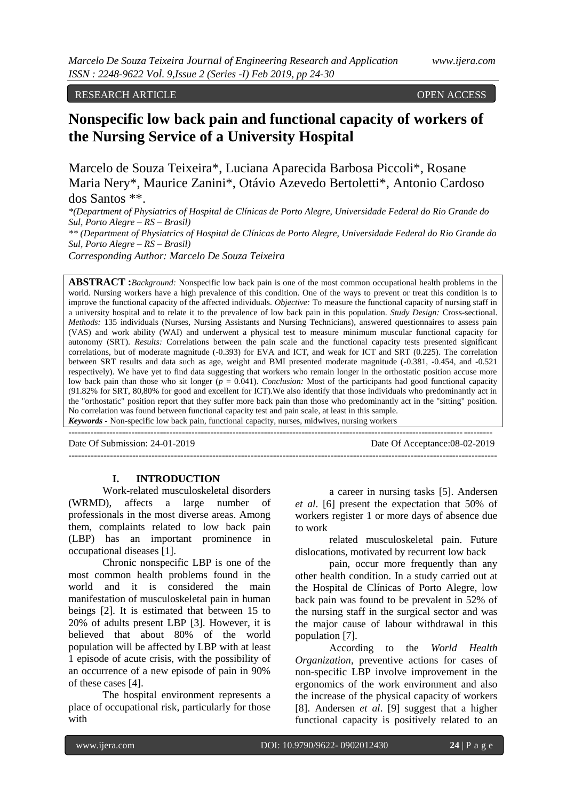RESEARCH ARTICLE OPEN ACCESS

# **Nonspecific low back pain and functional capacity of workers of the Nursing Service of a University Hospital**

Marcelo de Souza Teixeira\*, Luciana Aparecida Barbosa Piccoli\*, Rosane Maria Nery\*, Maurice Zanini\*, Otávio Azevedo Bertoletti\*, Antonio Cardoso dos Santos \*\*.

*\*(Department of Physiatrics of Hospital de Clínicas de Porto Alegre, Universidade Federal do Rio Grande do Sul, Porto Alegre – RS – Brasil) \*\* (Department of Physiatrics of Hospital de Clínicas de Porto Alegre, Universidade Federal do Rio Grande do Sul, Porto Alegre – RS – Brasil)*

*Corresponding Author: Marcelo De Souza Teixeira*

**ABSTRACT :***Background:* Nonspecific low back pain is one of the most common occupational health problems in the world. Nursing workers have a high prevalence of this condition. One of the ways to prevent or treat this condition is to improve the functional capacity of the affected individuals. *Objective:* To measure the functional capacity of nursing staff in a university hospital and to relate it to the prevalence of low back pain in this population. *Study Design:* Cross-sectional. *Methods:* 135 individuals (Nurses, Nursing Assistants and Nursing Technicians), answered questionnaires to assess pain (VAS) and work ability (WAI) and underwent a physical test to measure minimum muscular functional capacity for autonomy (SRT). *Results:* Correlations between the pain scale and the functional capacity tests presented significant correlations, but of moderate magnitude (-0.393) for EVA and ICT, and weak for ICT and SRT (0.225). The correlation between SRT results and data such as age, weight and BMI presented moderate magnitude (-0.381, -0.454, and -0.521 respectively). We have yet to find data suggesting that workers who remain longer in the orthostatic position accuse more low back pain than those who sit longer (*p* = 0.041). *Conclusion:* Most of the participants had good functional capacity (91.82% for SRT, 80,80% for good and excellent for ICT).We also identify that those individuals who predominantly act in the "orthostatic" position report that they suffer more back pain than those who predominantly act in the "sitting" position. No correlation was found between functional capacity test and pain scale, at least in this sample. *Keywords* **-** Non-specific low back pain, functional capacity, nurses, midwives, nursing workers

--------------------------------------------------------------------------------------------------------------------------------------

--------------------------------------------------------------------------------------------------------------------------------------

Date Of Submission: 24-01-2019 Date Of Acceptance:08-02-2019

#### **I. INTRODUCTION**

Work-related musculoskeletal disorders (WRMD), affects a large number of professionals in the most diverse areas. Among them, complaints related to low back pain (LBP) has an important prominence in occupational diseases [1].

Chronic nonspecific LBP is one of the most common health problems found in the world and it is considered the main manifestation of musculoskeletal pain in human beings [2]. It is estimated that between 15 to 20% of adults present LBP [3]. However, it is believed that about 80% of the world population will be affected by LBP with at least 1 episode of acute crisis, with the possibility of an occurrence of a new episode of pain in 90% of these cases [4].

The hospital environment represents a place of occupational risk, particularly for those with

a career in nursing tasks [5]. Andersen *et al*. [6] present the expectation that 50% of workers register 1 or more days of absence due to work

related musculoskeletal pain. Future dislocations, motivated by recurrent low back

pain, occur more frequently than any other health condition. In a study carried out at the Hospital de Clínicas of Porto Alegre, low back pain was found to be prevalent in 52% of the nursing staff in the surgical sector and was the major cause of labour withdrawal in this population [7].

According to the *World Health Organization*, preventive actions for cases of non-specific LBP involve improvement in the ergonomics of the work environment and also the increase of the physical capacity of workers [8]. Andersen *et al*. [9] suggest that a higher functional capacity is positively related to an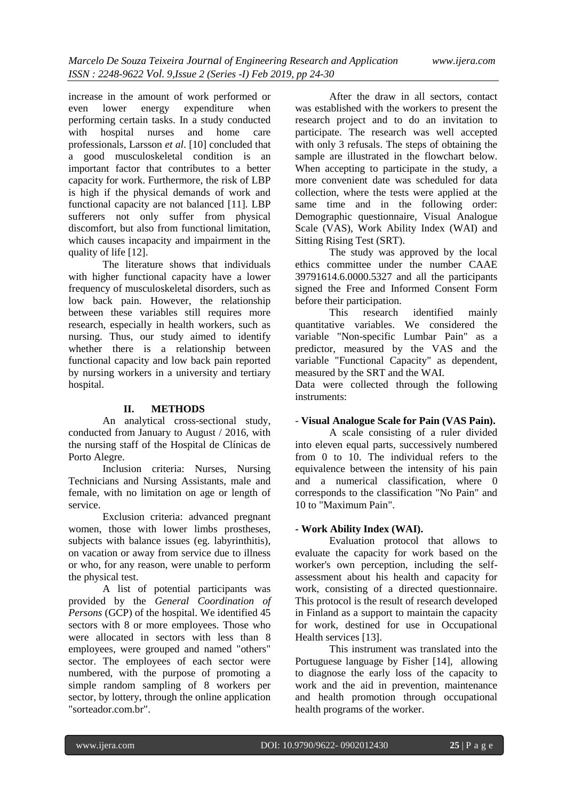increase in the amount of work performed or<br>even lower energy expenditure when expenditure when performing certain tasks. In a study conducted with hospital nurses and home care professionals, Larsson *et al*. [10] concluded that a good musculoskeletal condition is an important factor that contributes to a better capacity for work. Furthermore, the risk of LBP is high if the physical demands of work and functional capacity are not balanced [11]. LBP sufferers not only suffer from physical discomfort, but also from functional limitation, which causes incapacity and impairment in the quality of life [12].

The literature shows that individuals with higher functional capacity have a lower frequency of musculoskeletal disorders, such as low back pain. However, the relationship between these variables still requires more research, especially in health workers, such as nursing. Thus, our study aimed to identify whether there is a relationship between functional capacity and low back pain reported by nursing workers in a university and tertiary hospital.

#### **II. METHODS**

An analytical cross-sectional study, conducted from January to August / 2016, with the nursing staff of the Hospital de Clínicas de Porto Alegre.

Inclusion criteria: Nurses, Nursing Technicians and Nursing Assistants, male and female, with no limitation on age or length of service.

Exclusion criteria: advanced pregnant women, those with lower limbs prostheses, subjects with balance issues (eg. labyrinthitis), on vacation or away from service due to illness or who, for any reason, were unable to perform the physical test.

A list of potential participants was provided by the *General Coordination of Persons* (GCP) of the hospital. We identified 45 sectors with 8 or more employees. Those who were allocated in sectors with less than 8 employees, were grouped and named "others" sector. The employees of each sector were numbered, with the purpose of promoting a simple random sampling of 8 workers per sector, by lottery, through the online application "sorteador.com.br".

After the draw in all sectors, contact was established with the workers to present the research project and to do an invitation to participate. The research was well accepted with only 3 refusals. The steps of obtaining the sample are illustrated in the flowchart below. When accepting to participate in the study, a more convenient date was scheduled for data collection, where the tests were applied at the same time and in the following order: Demographic questionnaire, Visual Analogue Scale (VAS), Work Ability Index (WAI) and Sitting Rising Test (SRT).

The study was approved by the local ethics committee under the number CAAE 39791614.6.0000.5327 and all the participants signed the Free and Informed Consent Form before their participation.

This research identified mainly quantitative variables. We considered the variable "Non-specific Lumbar Pain" as a predictor, measured by the VAS and the variable "Functional Capacity" as dependent, measured by the SRT and the WAI.

Data were collected through the following instruments:

# - **Visual Analogue Scale for Pain (VAS Pain).**

A scale consisting of a ruler divided into eleven equal parts, successively numbered from 0 to 10. The individual refers to the equivalence between the intensity of his pain and a numerical classification, where 0 corresponds to the classification "No Pain" and 10 to "Maximum Pain".

## **- Work Ability Index (WAI).**

Evaluation protocol that allows to evaluate the capacity for work based on the worker's own perception, including the selfassessment about his health and capacity for work, consisting of a directed questionnaire. This protocol is the result of research developed in Finland as a support to maintain the capacity for work, destined for use in Occupational Health services [13].

This instrument was translated into the Portuguese language by Fisher [14], allowing to diagnose the early loss of the capacity to work and the aid in prevention, maintenance and health promotion through occupational health programs of the worker.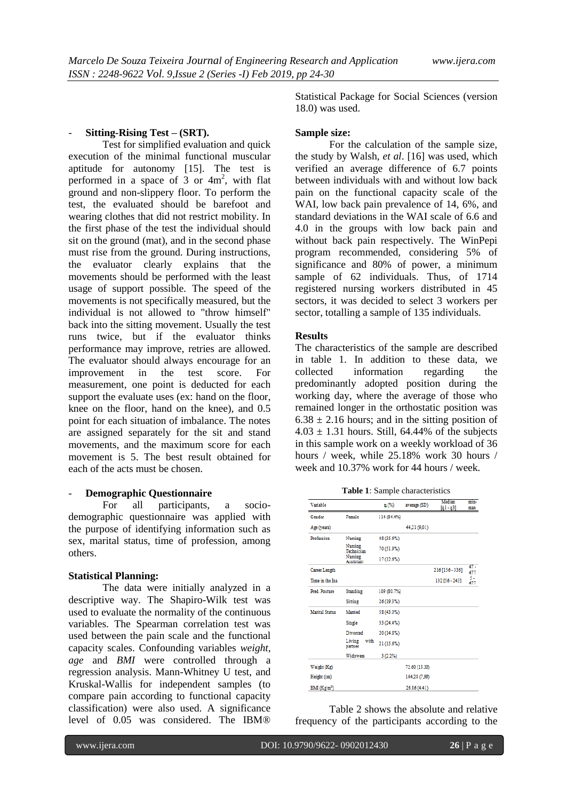## - **Sitting-Rising Test – (SRT).**

Test for simplified evaluation and quick execution of the minimal functional muscular aptitude for autonomy [15]. The test is performed in a space of 3 or  $4m^2$ , with flat ground and non-slippery floor. To perform the test, the evaluated should be barefoot and wearing clothes that did not restrict mobility. In the first phase of the test the individual should sit on the ground (mat), and in the second phase must rise from the ground. During instructions, the evaluator clearly explains that the movements should be performed with the least usage of support possible. The speed of the movements is not specifically measured, but the individual is not allowed to "throw himself" back into the sitting movement. Usually the test runs twice, but if the evaluator thinks performance may improve, retries are allowed. The evaluator should always encourage for an improvement in the test score. For measurement, one point is deducted for each support the evaluate uses (ex: hand on the floor, knee on the floor, hand on the knee), and 0.5 point for each situation of imbalance. The notes are assigned separately for the sit and stand movements, and the maximum score for each movement is 5. The best result obtained for each of the acts must be chosen.

# - **Demographic Questionnaire**

For all participants, a sociodemographic questionnaire was applied with the purpose of identifying information such as sex, marital status, time of profession, among others.

#### **Statistical Planning:**

The data were initially analyzed in a descriptive way. The Shapiro-Wilk test was used to evaluate the normality of the continuous variables. The Spearman correlation test was used between the pain scale and the functional capacity scales. Confounding variables *weight*, *age* and *BMI* were controlled through a regression analysis. Mann-Whitney U test, and Kruskal-Wallis for independent samples (to compare pain according to functional capacity classification) were also used. A significance level of 0.05 was considered. The IBM®

Statistical Package for Social Sciences (version 18.0) was used.

#### **Sample size:**

For the calculation of the sample size, the study by Walsh, *et al*. [16] was used, which verified an average difference of 6.7 points between individuals with and without low back pain on the functional capacity scale of the WAI, low back pain prevalence of 14, 6%, and standard deviations in the WAI scale of 6.6 and 4.0 in the groups with low back pain and without back pain respectively. The WinPepi program recommended, considering 5% of significance and 80% of power, a minimum sample of 62 individuals. Thus, of 1714 registered nursing workers distributed in 45 sectors, it was decided to select 3 workers per sector, totalling a sample of 135 individuals.

#### **Results**

The characteristics of the sample are described in table 1. In addition to these data, we collected information regarding the predominantly adopted position during the working day, where the average of those who remained longer in the orthostatic position was  $6.38 \pm 2.16$  hours; and in the sitting position of  $4.03 \pm 1.31$  hours. Still, 64.44% of the subjects in this sample work on a weekly workload of 36 hours / week, while 25.18% work 30 hours / week and 10.37% work for 44 hours / week.

**Table 1**: Sample characteristics

| Variable               |                             | n(x)        | average (SD)  | Median<br>$[q1 - q3]$ | min-<br>max   |
|------------------------|-----------------------------|-------------|---------------|-----------------------|---------------|
| Gender                 | Female                      | 114 (84.4%) |               |                       |               |
| Age (years)            |                             |             | 44,21 (9,01)  |                       |               |
| Profession             | Nursing                     | 48 (35.6%)  |               |                       |               |
|                        | Nursing<br>Technician       | 70 (51.9%)  |               |                       |               |
|                        | Nursing<br><b>Assistant</b> | 17 (12.6%)  |               |                       |               |
| Career Length          |                             |             |               | 216 [156 - 336]       | $47 -$<br>477 |
| Time in the Ins.       |                             |             |               | 132 [56 - 243]        | 5 -<br>477    |
| Pred. Posture          | Standing                    | 109 (80.7%) |               |                       |               |
|                        | <b>Sitting</b>              | 26 (19.3%)  |               |                       |               |
| <b>Marital Status</b>  | Married                     | 58 (43.0%)  |               |                       |               |
|                        | Single                      | 33 (24.4%)  |               |                       |               |
|                        | Divorced                    | 20 (14.8%)  |               |                       |               |
|                        | Living<br>with<br>partner   | 21 (15.6%)  |               |                       |               |
|                        | <b>Widowers</b>             | 3(2.2%)     |               |                       |               |
| Weight (Kg)            |                             |             | 72.60 (13.30) |                       |               |
| Height (cm)            |                             |             | 164,28 (7,99) |                       |               |
| BM(Kg/m <sup>2</sup> ) |                             |             | 26.86 (4.41)  |                       |               |

Table 2 shows the absolute and relative frequency of the participants according to the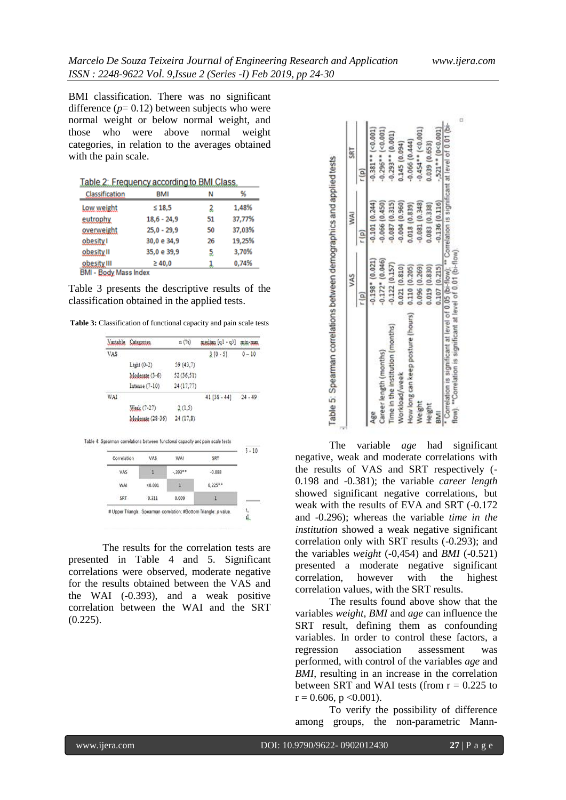0,74%

BMI classification. There was no significant difference  $(p= 0.12)$  between subjects who were normal weight or below normal weight, and those who were above normal weight categories, in relation to the averages obtained with the pain scale.

|                | <u> Table 2: Frequency according to BMI Class</u> |    |        |
|----------------|---------------------------------------------------|----|--------|
| Classification | <b>BMI</b>                                        | Ν  | %      |
| Low weight     | $\leq 18.5$                                       | 2  | 1,48%  |
| eutrophy       | $18,6 - 24,9$                                     | 51 | 37,77% |
| overweight     | $25,0 - 29,9$                                     | 50 | 37,03% |
| obesity I      | 30,0 e 34,9                                       | 26 | 19,25% |
| obesity II     | 35,0 e 39,9                                       | 5  | 3,70%  |

Table 3 presents the descriptive results of the classification obtained in the applied tests.

 $\geq 40,0$ 

obesity III

**BMI - Body Mass Index** 

**Table 3:** Classification of functional capacity and pain scale tests

| Variable    | Categories  |                  | n(%)       | median [q1 - q3]                                                                       | min-max   |
|-------------|-------------|------------------|------------|----------------------------------------------------------------------------------------|-----------|
| VAS         |             |                  |            | $3[0-5]$                                                                               | $0 - 10$  |
|             | Light (0-2) |                  | 59(43,7)   |                                                                                        |           |
|             |             | Moderate (3-6)   | 52 (36,51) |                                                                                        |           |
|             |             | Intense $(7-10)$ | 24(17,77)  |                                                                                        |           |
| WAI         |             |                  |            | $41 [38 - 44]$                                                                         | $24 - 49$ |
|             |             |                  |            |                                                                                        |           |
|             |             | Weak (7-27)      | 2(1,5)     |                                                                                        |           |
|             |             | Moderate (28-36) | 24(17.8)   |                                                                                        |           |
| Correlation |             | <b>VAS</b>       | WAI        | Table 4: Spearman correlations between functional capacity and pain scale tests<br>SRT |           |
| VAS         |             | 1                | $.393***$  | $-0.088$                                                                               | $5 - 10$  |
| WAI         |             | < 0.001          | 1          | $0.225***$                                                                             |           |

The results for the correlation tests are presented in Table 4 and 5. Significant correlations were observed, moderate negative for the results obtained between the VAS and the WAI (-0.393), and a weak positive correlation between the WAI and the SRT (0.225).

|                                   | VAS                | WAI             | SRT                   |
|-----------------------------------|--------------------|-----------------|-----------------------|
|                                   |                    |                 |                       |
| Age                               | $-0.198 - (0.021)$ | 0.101 (0.244)   | $0.381$ * $(< 0.001)$ |
| Career length (months)            | $-0.172$ $(0.046)$ | 0.066(0.450)    | $0.296**$ (<0.001)    |
| Time in the institution (months)  | $-0.122(0.157)$    | 0.087(0.315)    | $-0.293**$ (0.001)    |
| Workload/week                     | 0.021(0.810)       | $-0.004(0.960)$ | 0.145(0.094)          |
| How long can keep posture (hours) | 0.110(0.205)       | 0.018(0.839)    | $-0.066(0.444)$       |
| Weight                            | 0.096(0.269)       | $-0.081(0.348)$ | $-0.454$ * $(-0.001)$ |
| Height                            | 0.019(0.830)       | 0.083(0.338)    | 0.039(0.653)          |
|                                   | 0.107(0.215)       | 0.136(0.116)    | $-.521**$ (0<0.001)   |

The variable *age* had significant negative, weak and moderate correlations with the results of VAS and SRT respectively (- 0.198 and -0.381); the variable *career length* showed significant negative correlations, but weak with the results of EVA and SRT (-0.172 and -0.296); whereas the variable *time in the institution* showed a weak negative significant correlation only with SRT results (-0.293); and the variables *weight* (-0,454) and *BMI* (-0.521) presented a moderate negative significant<br>correlation, however with the highest correlation, however with the correlation values, with the SRT results.

The results found above show that the variables *weight*, *BMI* and *age* can influence the SRT result, defining them as confounding variables. In order to control these factors, a regression association assessment was performed, with control of the variables *age* and *BMI*, resulting in an increase in the correlation between SRT and WAI tests (from  $r = 0.225$  to  $r = 0.606$ ,  $p < 0.001$ ).

To verify the possibility of difference among groups, the non-parametric Mann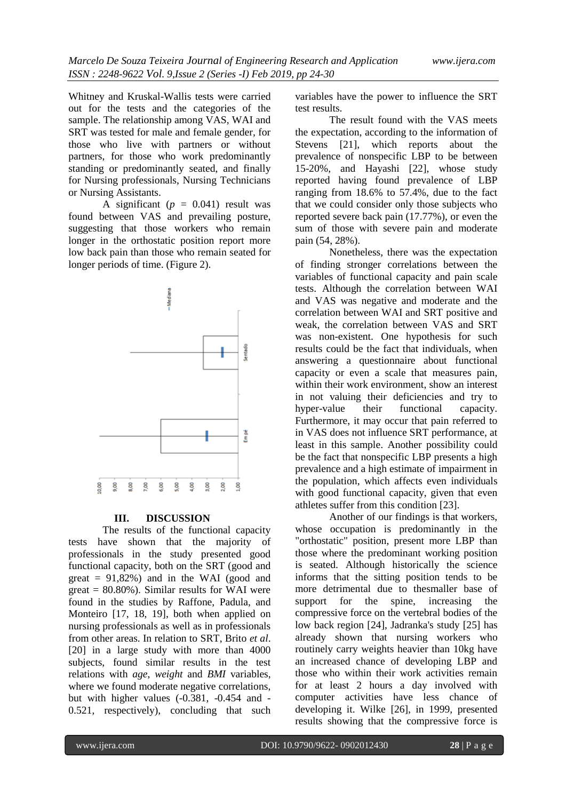Whitney and Kruskal-Wallis tests were carried out for the tests and the categories of the sample. The relationship among VAS, WAI and SRT was tested for male and female gender, for those who live with partners or without partners, for those who work predominantly standing or predominantly seated, and finally for Nursing professionals, Nursing Technicians or Nursing Assistants.

A significant  $(p = 0.041)$  result was found between VAS and prevailing posture, suggesting that those workers who remain longer in the orthostatic position report more low back pain than those who remain seated for longer periods of time. (Figure 2).



#### **III. DISCUSSION**

The results of the functional capacity tests have shown that the majority of professionals in the study presented good functional capacity, both on the SRT (good and great  $= 91,82\%$ ) and in the WAI (good and great  $= 80.80\%$ ). Similar results for WAI were found in the studies by Raffone, Padula, and Monteiro [17, 18, 19], both when applied on nursing professionals as well as in professionals from other areas. In relation to SRT, Brito *et al*. [20] in a large study with more than 4000 subjects, found similar results in the test relations with *age*, *weight* and *BMI* variables, where we found moderate negative correlations, but with higher values (-0.381, -0.454 and - 0.521, respectively), concluding that such

variables have the power to influence the SRT test results.

The result found with the VAS meets the expectation, according to the information of Stevens [21], which reports about the prevalence of nonspecific LBP to be between 15-20%, and Hayashi [22], whose study reported having found prevalence of LBP ranging from 18.6% to 57.4%, due to the fact that we could consider only those subjects who reported severe back pain (17.77%), or even the sum of those with severe pain and moderate pain (54, 28%).

Nonetheless, there was the expectation of finding stronger correlations between the variables of functional capacity and pain scale tests. Although the correlation between WAI and VAS was negative and moderate and the correlation between WAI and SRT positive and weak, the correlation between VAS and SRT was non-existent. One hypothesis for such results could be the fact that individuals, when answering a questionnaire about functional capacity or even a scale that measures pain, within their work environment, show an interest in not valuing their deficiencies and try to hyper-value their functional capacity. Furthermore, it may occur that pain referred to in VAS does not influence SRT performance, at least in this sample. Another possibility could be the fact that nonspecific LBP presents a high prevalence and a high estimate of impairment in the population, which affects even individuals with good functional capacity, given that even athletes suffer from this condition [23].

Another of our findings is that workers, whose occupation is predominantly in the "orthostatic" position, present more LBP than those where the predominant working position is seated. Although historically the science informs that the sitting position tends to be more detrimental due to thesmaller base of support for the spine, increasing the compressive force on the vertebral bodies of the low back region [24], Jadranka's study [25] has already shown that nursing workers who routinely carry weights heavier than 10kg have an increased chance of developing LBP and those who within their work activities remain for at least 2 hours a day involved with computer activities have less chance of developing it. Wilke [26], in 1999, presented results showing that the compressive force is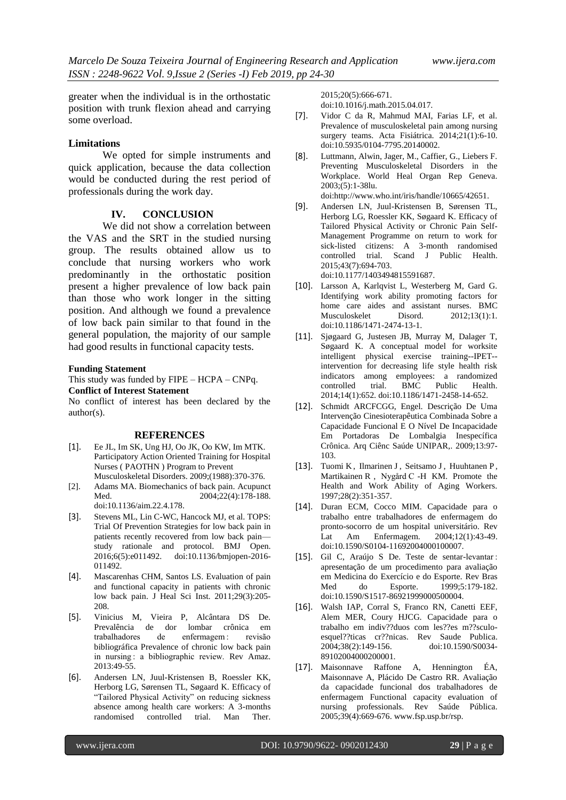greater when the individual is in the orthostatic position with trunk flexion ahead and carrying some overload.

#### **Limitations**

We opted for simple instruments and quick application, because the data collection would be conducted during the rest period of professionals during the work day.

## **IV. CONCLUSION**

We did not show a correlation between the VAS and the SRT in the studied nursing group. The results obtained allow us to conclude that nursing workers who work predominantly in the orthostatic position present a higher prevalence of low back pain than those who work longer in the sitting position. And although we found a prevalence of low back pain similar to that found in the general population, the majority of our sample had good results in functional capacity tests.

#### **Funding Statement**

This study was funded by FIPE – HCPA – CNPq. **Conflict of Interest Statement**

No conflict of interest has been declared by the author(s).

#### **REFERENCES**

- [1]. Ee JL, Im SK, Ung HJ, Oo JK, Oo KW, Im MTK. Participatory Action Oriented Training for Hospital Nurses ( PAOTHN ) Program to Prevent Musculoskeletal Disorders. 2009;(1988):370-376.
- [2]. Adams MA. Biomechanics of back pain. Acupunct Med. 2004;22(4):178-188. doi:10.1136/aim.22.4.178.
- [3]. Stevens ML, Lin C-WC, Hancock MJ, et al. TOPS: Trial Of Prevention Strategies for low back pain in patients recently recovered from low back pain study rationale and protocol. BMJ Open. 2016;6(5):e011492. doi:10.1136/bmjopen-2016- 011492.
- [4]. Mascarenhas CHM, Santos LS. Evaluation of pain and functional capacity in patients with chronic low back pain. J Heal Sci Inst. 2011;29(3):205- 208.
- [5]. Vinicius M, Vieira P, Alcântara DS De. Prevalência de dor lombar crônica em trabalhadores de enfermagem : revisão bibliográfica Prevalence of chronic low back pain in nursing : a bibliographic review. Rev Amaz. 2013:49-55.
- [6]. Andersen LN, Juul-Kristensen B, Roessler KK, Herborg LG, Sørensen TL, Søgaard K. Efficacy of "Tailored Physical Activity" on reducing sickness absence among health care workers: A 3-months randomised controlled trial. Man Ther.

2015;20(5):666-671. doi:10.1016/j.math.2015.04.017.

- [7]. Vidor C da R, Mahmud MAI, Farias LF, et al. Prevalence of musculoskeletal pain among nursing surgery teams. Acta Fisiátrica. 2014;21(1):6-10. doi:10.5935/0104-7795.20140002.
- [8]. Luttmann, Alwin, Jager, M., Caffier, G., Liebers F. Preventing Musculoskeletal Disorders in the Workplace. World Heal Organ Rep Geneva. 2003;(5):1-38lu.

doi:http://www.who.int/iris/handle/10665/42651.

- [9]. Andersen LN, Juul-Kristensen B, Sørensen TL, Herborg LG, Roessler KK, Søgaard K. Efficacy of Tailored Physical Activity or Chronic Pain Self-Management Programme on return to work for sick-listed citizens: A 3-month randomised controlled trial. Scand J Public Health. 2015;43(7):694-703. doi:10.1177/1403494815591687.
- [10]. Larsson A, Karlqvist L, Westerberg M, Gard G. Identifying work ability promoting factors for home care aides and assistant nurses. BMC<br>Musculoskelet Disord. 2012;13(1):1.  $2012;13(1):1.$ doi:10.1186/1471-2474-13-1.
- [11]. Sjøgaard G, Justesen JB, Murray M, Dalager T, Søgaard K. A conceptual model for worksite intelligent physical exercise training--IPET- intervention for decreasing life style health risk indicators among employees: a randomized<br>controlled trial. BMC Public Health. controlled trial. BMC Public Health. 2014;14(1):652. doi:10.1186/1471-2458-14-652.
- [12]. Schmidt ARCFCGG, Engel. Descrição De Uma Intervenção Cinesioterapêutica Combinada Sobre a Capacidade Funcional E O Nível De Incapacidade Em Portadoras De Lombalgia Inespecífica Crônica. Arq Ciênc Saúde UNIPAR,. 2009;13:97- 103.
- [13]. Tuomi K, Ilmarinen J, Seitsamo J, Huuhtanen P, Martikainen R , Nygård C -H KM. Promote the Health and Work Ability of Aging Workers. 1997;28(2):351-357.
- [14]. Duran ECM, Cocco MIM. Capacidade para o trabalho entre trabalhadores de enfermagem do pronto-socorro de um hospital universitário. Rev Lat Am Enfermagem. 2004;12(1):43-49. doi:10.1590/S0104-11692004000100007.
- [15]. Gil C, Araújo S De. Teste de sentar-levantar : apresentação de um procedimento para avaliação em Medicina do Exercício e do Esporte. Rev Bras do Esporte. 1999;5:179-182. doi:10.1590/S1517-86921999000500004.
- [16]. Walsh IAP, Corral S, Franco RN, Canetti EEF, Alem MER, Coury HJCG. Capacidade para o trabalho em indiv??duos com les??es m??sculoesquel??ticas cr??nicas. Rev Saude Publica. 2004;38(2):149-156. doi:10.1590/S0034- 89102004000200001.
- [17]. Maisonnave Raffone A, Hennington ÉA, Maisonnave A, Plácido De Castro RR. Avaliação da capacidade funcional dos trabalhadores de enfermagem Functional capacity evaluation of nursing professionals. Rev Saúde Pública. 2005;39(4):669-676. www.fsp.usp.br/rsp.